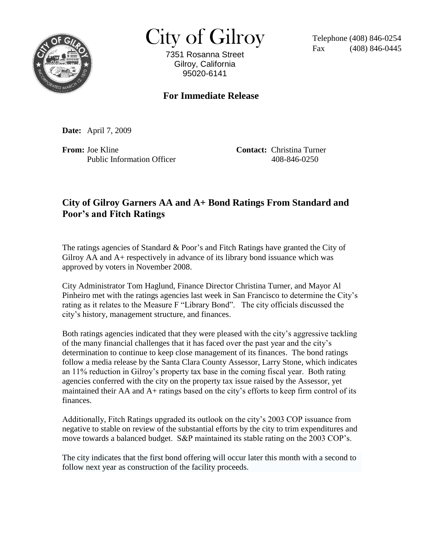

 $City of Gilroy$  Telephone (408) 846-0254

7351 Rosanna Street Gilroy, California 95020-6141

 $(408)$  846-0445

## **For Immediate Release**

**Date:** April 7, 2009

**From:** Joe Kline **Contact:** Christina Turner Public Information Officer 408-846-0250

## **City of Gilroy Garners AA and A+ Bond Ratings From Standard and Poor's and Fitch Ratings**

The ratings agencies of Standard & Poor's and Fitch Ratings have granted the City of Gilroy AA and A+ respectively in advance of its library bond issuance which was approved by voters in November 2008.

City Administrator Tom Haglund, Finance Director Christina Turner, and Mayor Al Pinheiro met with the ratings agencies last week in San Francisco to determine the City's rating as it relates to the Measure F "Library Bond". The city officials discussed the city's history, management structure, and finances.

Both ratings agencies indicated that they were pleased with the city's aggressive tackling of the many financial challenges that it has faced over the past year and the city's determination to continue to keep close management of its finances. The bond ratings follow a media release by the Santa Clara County Assessor, Larry Stone, which indicates an 11% reduction in Gilroy's property tax base in the coming fiscal year. Both rating agencies conferred with the city on the property tax issue raised by the Assessor, yet maintained their AA and A+ ratings based on the city's efforts to keep firm control of its finances.

Additionally, Fitch Ratings upgraded its outlook on the city's 2003 COP issuance from negative to stable on review of the substantial efforts by the city to trim expenditures and move towards a balanced budget. S&P maintained its stable rating on the 2003 COP's.

The city indicates that the first bond offering will occur later this month with a second to follow next year as construction of the facility proceeds.